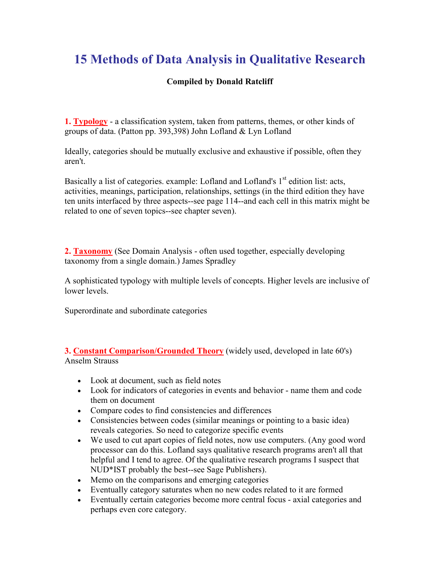## 15 Methods of Data Analysis in Qualitative Research

## Compiled by Donald Ratcliff

**1. Typology** - a classification system, taken from patterns, themes, or other kinds of groups of data. (Patton pp. 393,398) John Lofland & Lyn Lofland

Ideally, categories should be mutually exclusive and exhaustive if possible, often they aren't.

Basically a list of categories. example: Lofland and Lofland's  $1<sup>st</sup>$  edition list: acts, activities, meanings, participation, relationships, settings (in the third edition they have ten units interfaced by three aspects--see page 114--and each cell in this matrix might be related to one of seven topics--see chapter seven).

2. Taxonomy (See Domain Analysis - often used together, especially developing taxonomy from a single domain.) James Spradley

A sophisticated typology with multiple levels of concepts. Higher levels are inclusive of lower levels.

Superordinate and subordinate categories

**3. Constant Comparison/Grounded Theory** (widely used, developed in late 60's) Anselm Strauss

- Look at document, such as field notes
- Look for indicators of categories in events and behavior name them and code them on document
- Compare codes to find consistencies and differences
- Consistencies between codes (similar meanings or pointing to a basic idea) reveals categories. So need to categorize specific events
- We used to cut apart copies of field notes, now use computers. (Any good word processor can do this. Lofland says qualitative research programs aren't all that helpful and I tend to agree. Of the qualitative research programs I suspect that NUD\*IST probably the best--see Sage Publishers).
- Memo on the comparisons and emerging categories
- Eventually category saturates when no new codes related to it are formed
- Eventually certain categories become more central focus axial categories and perhaps even core category.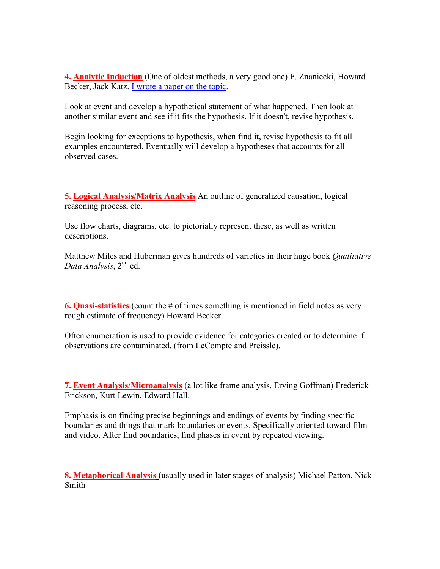4. Analytic Induction (One of oldest methods, a very good one) F. Znaniecki, Howard Becker, Jack Katz. I wrote a paper on the topic.

Look at event and develop a hypothetical statement of what happened. Then look at another similar event and see if it fits the hypothesis. If it doesn't, revise hypothesis.

Begin looking for exceptions to hypothesis, when find it, revise hypothesis to fit all examples encountered. Eventually will develop a hypotheses that accounts for all observed cases.

5. Logical Analysis/Matrix Analysis An outline of generalized causation, logical reasoning process, etc.

Use flow charts, diagrams, etc. to pictorially represent these, as well as written descriptions.

Matthew Miles and Huberman gives hundreds of varieties in their huge book *Qualitative* Data Analysis, 2<sup>nd</sup> ed.

**6. Quasi-statistics** (count the  $\#$  of times something is mentioned in field notes as very rough estimate of frequency) Howard Becker

Often enumeration is used to provide evidence for categories created or to determine if observations are contaminated. (from LeCompte and Preissle).

7. Event Analysis/Microanalysis (a lot like frame analysis, Erving Goffman) Frederick Erickson, Kurt Lewin, Edward Hall.

Emphasis is on finding precise beginnings and endings of events by finding specific boundaries and things that mark boundaries or events. Specifically oriented toward film and video. After find boundaries, find phases in event by repeated viewing.

8. Metaphorical Analysis (usually used in later stages of analysis) Michael Patton, Nick Smith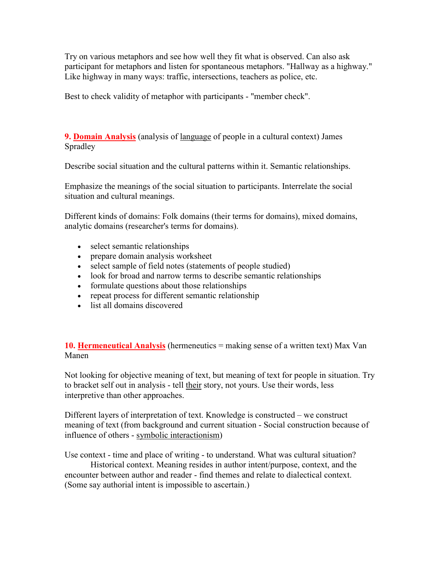Try on various metaphors and see how well they fit what is observed. Can also ask participant for metaphors and listen for spontaneous metaphors. "Hallway as a highway." Like highway in many ways: traffic, intersections, teachers as police, etc.

Best to check validity of metaphor with participants - "member check".

9. Domain Analysis (analysis of language of people in a cultural context) James Spradley

Describe social situation and the cultural patterns within it. Semantic relationships.

Emphasize the meanings of the social situation to participants. Interrelate the social situation and cultural meanings.

Different kinds of domains: Folk domains (their terms for domains), mixed domains, analytic domains (researcher's terms for domains).

- select semantic relationships
- prepare domain analysis worksheet
- select sample of field notes (statements of people studied)
- look for broad and narrow terms to describe semantic relationships
- formulate questions about those relationships
- repeat process for different semantic relationship
- list all domains discovered

10. Hermeneutical Analysis (hermeneutics = making sense of a written text) Max Van Manen

Not looking for objective meaning of text, but meaning of text for people in situation. Try to bracket self out in analysis - tell their story, not yours. Use their words, less interpretive than other approaches.

Different layers of interpretation of text. Knowledge is constructed – we construct meaning of text (from background and current situation - Social construction because of influence of others - symbolic interactionism)

Use context - time and place of writing - to understand. What was cultural situation?

 Historical context. Meaning resides in author intent/purpose, context, and the encounter between author and reader - find themes and relate to dialectical context. (Some say authorial intent is impossible to ascertain.)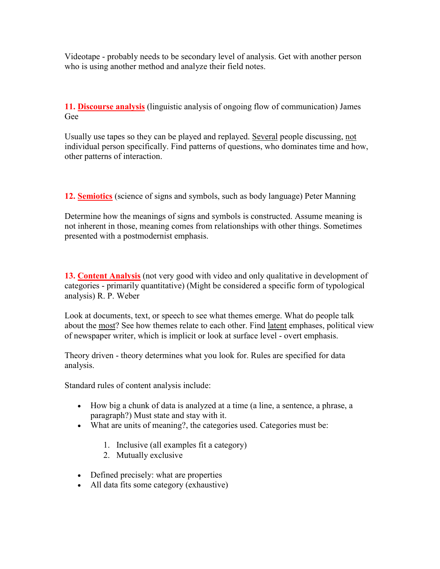Videotape - probably needs to be secondary level of analysis. Get with another person who is using another method and analyze their field notes.

11. Discourse analysis (linguistic analysis of ongoing flow of communication) James Gee

Usually use tapes so they can be played and replayed. Several people discussing, not individual person specifically. Find patterns of questions, who dominates time and how, other patterns of interaction.

12. Semiotics (science of signs and symbols, such as body language) Peter Manning

Determine how the meanings of signs and symbols is constructed. Assume meaning is not inherent in those, meaning comes from relationships with other things. Sometimes presented with a postmodernist emphasis.

13. Content Analysis (not very good with video and only qualitative in development of categories - primarily quantitative) (Might be considered a specific form of typological analysis) R. P. Weber

Look at documents, text, or speech to see what themes emerge. What do people talk about the most? See how themes relate to each other. Find latent emphases, political view of newspaper writer, which is implicit or look at surface level - overt emphasis.

Theory driven - theory determines what you look for. Rules are specified for data analysis.

Standard rules of content analysis include:

- How big a chunk of data is analyzed at a time (a line, a sentence, a phrase, a paragraph?) Must state and stay with it.
- What are units of meaning?, the categories used. Categories must be:
	- 1. Inclusive (all examples fit a category)
	- 2. Mutually exclusive
- Defined precisely: what are properties
- All data fits some category (exhaustive)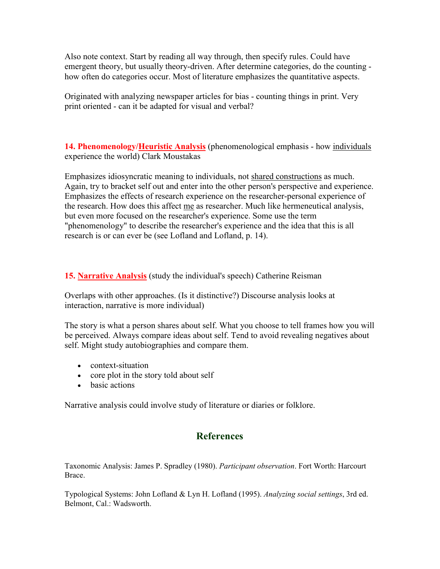Also note context. Start by reading all way through, then specify rules. Could have emergent theory, but usually theory-driven. After determine categories, do the counting how often do categories occur. Most of literature emphasizes the quantitative aspects.

Originated with analyzing newspaper articles for bias - counting things in print. Very print oriented - can it be adapted for visual and verbal?

14. Phenomenology/Heuristic Analysis (phenomenological emphasis - how individuals experience the world) Clark Moustakas

Emphasizes idiosyncratic meaning to individuals, not shared constructions as much. Again, try to bracket self out and enter into the other person's perspective and experience. Emphasizes the effects of research experience on the researcher-personal experience of the research. How does this affect me as researcher. Much like hermeneutical analysis, but even more focused on the researcher's experience. Some use the term "phenomenology" to describe the researcher's experience and the idea that this is all research is or can ever be (see Lofland and Lofland, p. 14).

15. Narrative Analysis (study the individual's speech) Catherine Reisman

Overlaps with other approaches. (Is it distinctive?) Discourse analysis looks at interaction, narrative is more individual)

The story is what a person shares about self. What you choose to tell frames how you will be perceived. Always compare ideas about self. Tend to avoid revealing negatives about self. Might study autobiographies and compare them.

- context-situation
- core plot in the story told about self
- basic actions

Narrative analysis could involve study of literature or diaries or folklore.

## **References**

Taxonomic Analysis: James P. Spradley (1980). Participant observation. Fort Worth: Harcourt Brace.

Typological Systems: John Lofland & Lyn H. Lofland (1995). Analyzing social settings, 3rd ed. Belmont, Cal.: Wadsworth.